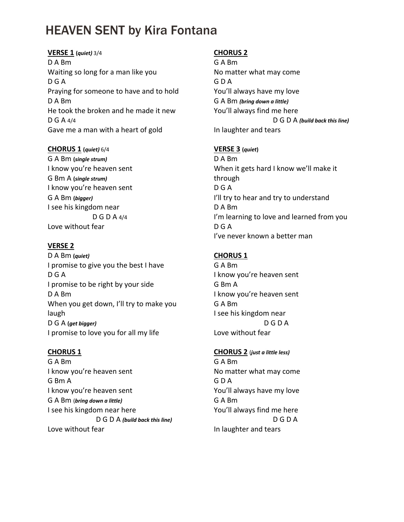# HEAVEN SENT by Kira Fontana

#### **VERSE 1 (***quiet)* 3/4

D A Bm Waiting so long for a man like you D G A Praying for someone to have and to hold D A Bm He took the broken and he made it new D G A 4/4 Gave me a man with a heart of gold

#### **CHORUS 1 (***quiet)* 6/4

G A Bm **(***single strum)* I know you're heaven sent G Bm A **(***single strum)* I know you're heaven sent G A Bm **(***bigger)* I see his kingdom near D G D A 4/4 Love without fear

## **VERSE 2**

D A Bm **(***quiet)* I promise to give you the best I have D G A I promise to be right by your side D A Bm When you get down, I'll try to make you laugh D G A **(***get bigger)* I promise to love you for all my life

## **CHORUS 1**

G A Bm I know you're heaven sent G Bm A I know you're heaven sent G A Bm (*bring down a little)* I see his kingdom near here D G D A *(build back this line)* Love without fear

## **CHORUS 2**

G A Bm No matter what may come G D A You'll always have my love G A Bm *(bring down a little)* You'll always find me here D G D A *(build back this line)* In laughter and tears

#### **VERSE 3 (***quiet***)**

D A Bm When it gets hard I know we'll make it through D G A I'll try to hear and try to understand D A Bm I'm learning to love and learned from you D G A I've never known a better man

## **CHORUS 1**

G A Bm I know you're heaven sent G Bm A I know you're heaven sent G A Bm I see his kingdom near D G D A Love without fear

#### **CHORUS 2** (*just a little less)*

G A Bm No matter what may come G D A You'll always have my love G A Bm You'll always find me here D G D A In laughter and tears